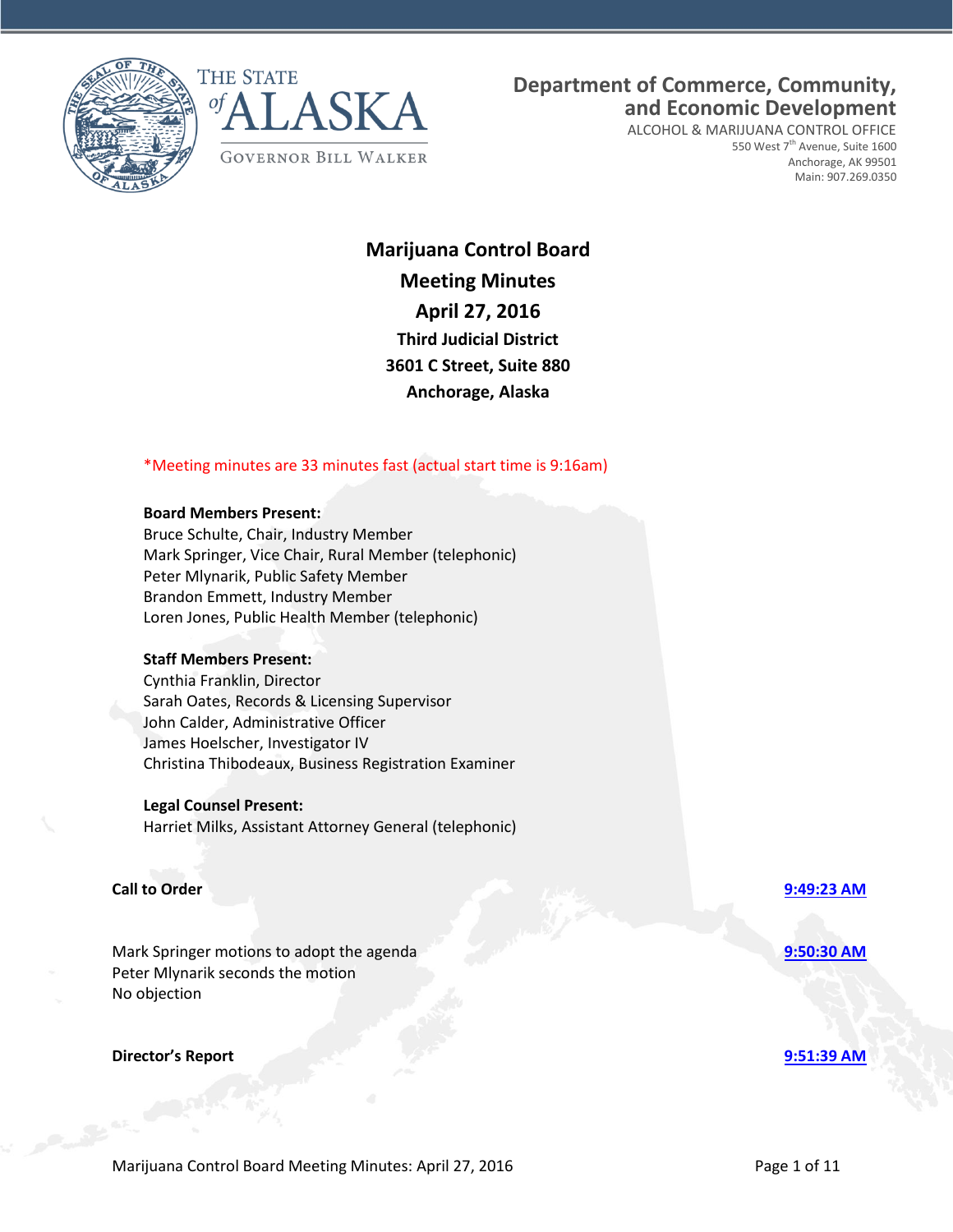



**Department of Commerce, Community, and Economic Development**

ALCOHOL & MARIJUANA CONTROL OFFICE 550 West 7<sup>th</sup> Avenue, Suite 1600 Anchorage, AK 99501 Main: 907.269.0350

**Marijuana Control Board Meeting Minutes April 27, 2016 Third Judicial District 3601 C Street, Suite 880 Anchorage, Alaska**

## \*Meeting minutes are 33 minutes fast (actual start time is 9:16am)

### **Board Members Present:**

Bruce Schulte, Chair, Industry Member Mark Springer, Vice Chair, Rural Member (telephonic) Peter Mlynarik, Public Safety Member Brandon Emmett, Industry Member Loren Jones, Public Health Member (telephonic)

### **Staff Members Present:**

Cynthia Franklin, Director Sarah Oates, Records & Licensing Supervisor John Calder, Administrative Officer James Hoelscher, Investigator IV Christina Thibodeaux, Business Registration Examiner

### **Legal Counsel Present:**

Harriet Milks, Assistant Attorney General (telephonic)

## **Call to Order [9:49:23 AM](ftr://?location="ABC Board"?date="27-Apr-2016"?position="09:49:23"?Data="6e365ff7")**

Mark Springer motions to adopt the agenda **[9:50:30 AM](ftr://?location="ABC Board"?date="27-Apr-2016"?position="09:50:30"?Data="d06f4419")** Peter Mlynarik seconds the motion No objection

### **Director's Report [9:51:39 AM](ftr://?location="ABC Board"?date="27-Apr-2016"?position="09:51:39"?Data="42a560ad")**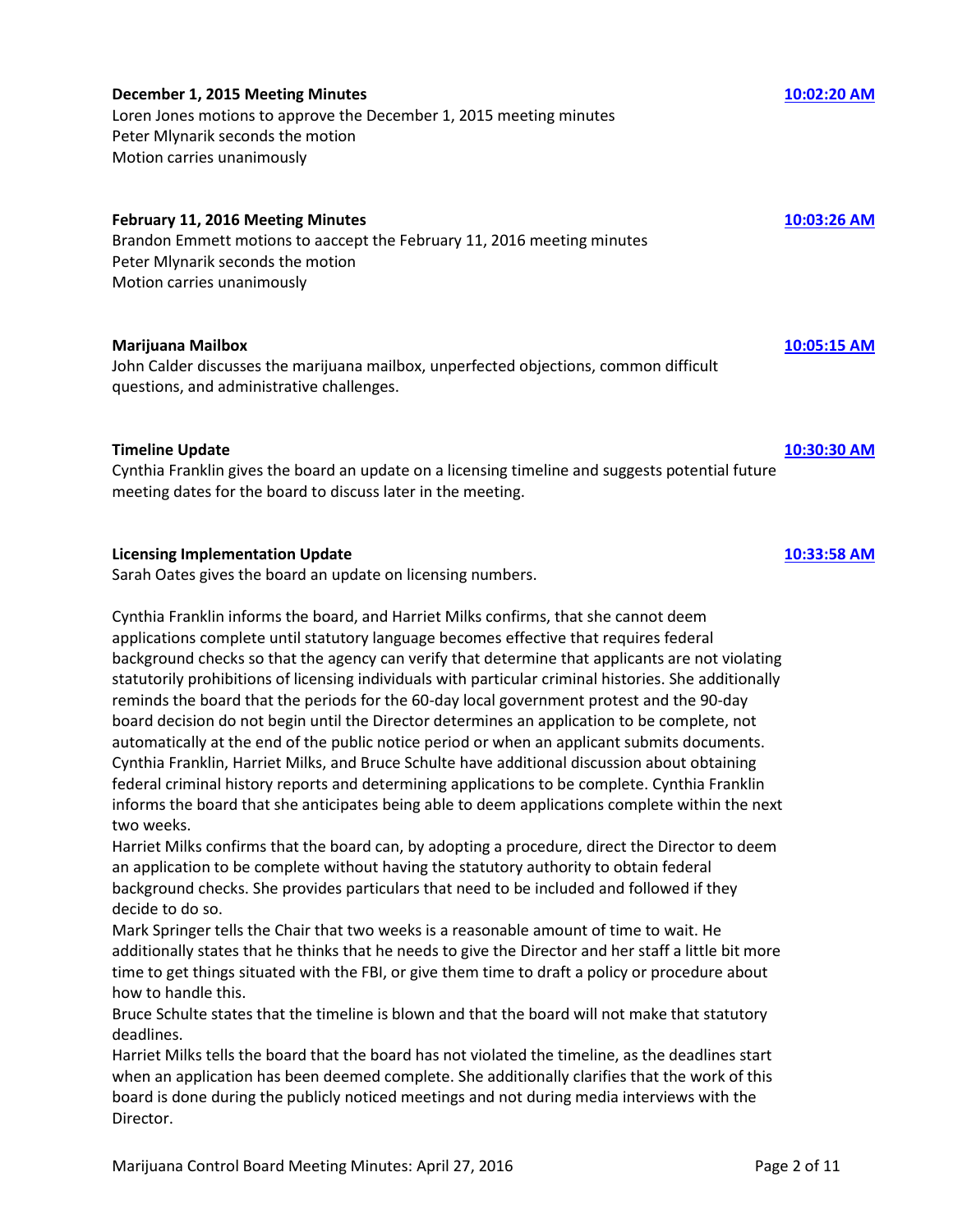# **December 1, 2015 Meeting Minutes** [10:02:20 AM](ftr://?location="ABC Board"?date="27-Apr-2016"?position="10:02:20"?Data="b54c88ae")

Loren Jones motions to approve the December 1, 2015 meeting minutes Peter Mlynarik seconds the motion Motion carries unanimously

## **February 11, 2016 Meeting Minutes [10:03:26 AM](ftr://?location="ABC Board"?date="27-Apr-2016"?position="10:03:26"?Data="7fe5bc4c")**

Brandon Emmett motions to aaccept the February 11, 2016 meeting minutes Peter Mlynarik seconds the motion Motion carries unanimously

## **Marijuana Mailbox [10:05:15 AM](ftr://?location="ABC Board"?date="27-Apr-2016"?position="10:05:15"?Data="e6da114b")**

John Calder discusses the marijuana mailbox, unperfected objections, common difficult questions, and administrative challenges.

## **Timeline Update [10:30:30 AM](ftr://?location="ABC Board"?date="27-Apr-2016"?position="10:30:30"?Data="0d7b59c6")**

Cynthia Franklin gives the board an update on a licensing timeline and suggests potential future meeting dates for the board to discuss later in the meeting.

## **Licensing Implementation Update [10:33:58 AM](ftr://?location="ABC Board"?date="27-Apr-2016"?position="10:33:58"?Data="f5a12937")**

Sarah Oates gives the board an update on licensing numbers.

Cynthia Franklin informs the board, and Harriet Milks confirms, that she cannot deem applications complete until statutory language becomes effective that requires federal background checks so that the agency can verify that determine that applicants are not violating statutorily prohibitions of licensing individuals with particular criminal histories. She additionally reminds the board that the periods for the 60-day local government protest and the 90-day board decision do not begin until the Director determines an application to be complete, not automatically at the end of the public notice period or when an applicant submits documents. Cynthia Franklin, Harriet Milks, and Bruce Schulte have additional discussion about obtaining federal criminal history reports and determining applications to be complete. Cynthia Franklin informs the board that she anticipates being able to deem applications complete within the next two weeks.

Harriet Milks confirms that the board can, by adopting a procedure, direct the Director to deem an application to be complete without having the statutory authority to obtain federal background checks. She provides particulars that need to be included and followed if they decide to do so.

Mark Springer tells the Chair that two weeks is a reasonable amount of time to wait. He additionally states that he thinks that he needs to give the Director and her staff a little bit more time to get things situated with the FBI, or give them time to draft a policy or procedure about how to handle this.

Bruce Schulte states that the timeline is blown and that the board will not make that statutory deadlines.

Harriet Milks tells the board that the board has not violated the timeline, as the deadlines start when an application has been deemed complete. She additionally clarifies that the work of this board is done during the publicly noticed meetings and not during media interviews with the Director.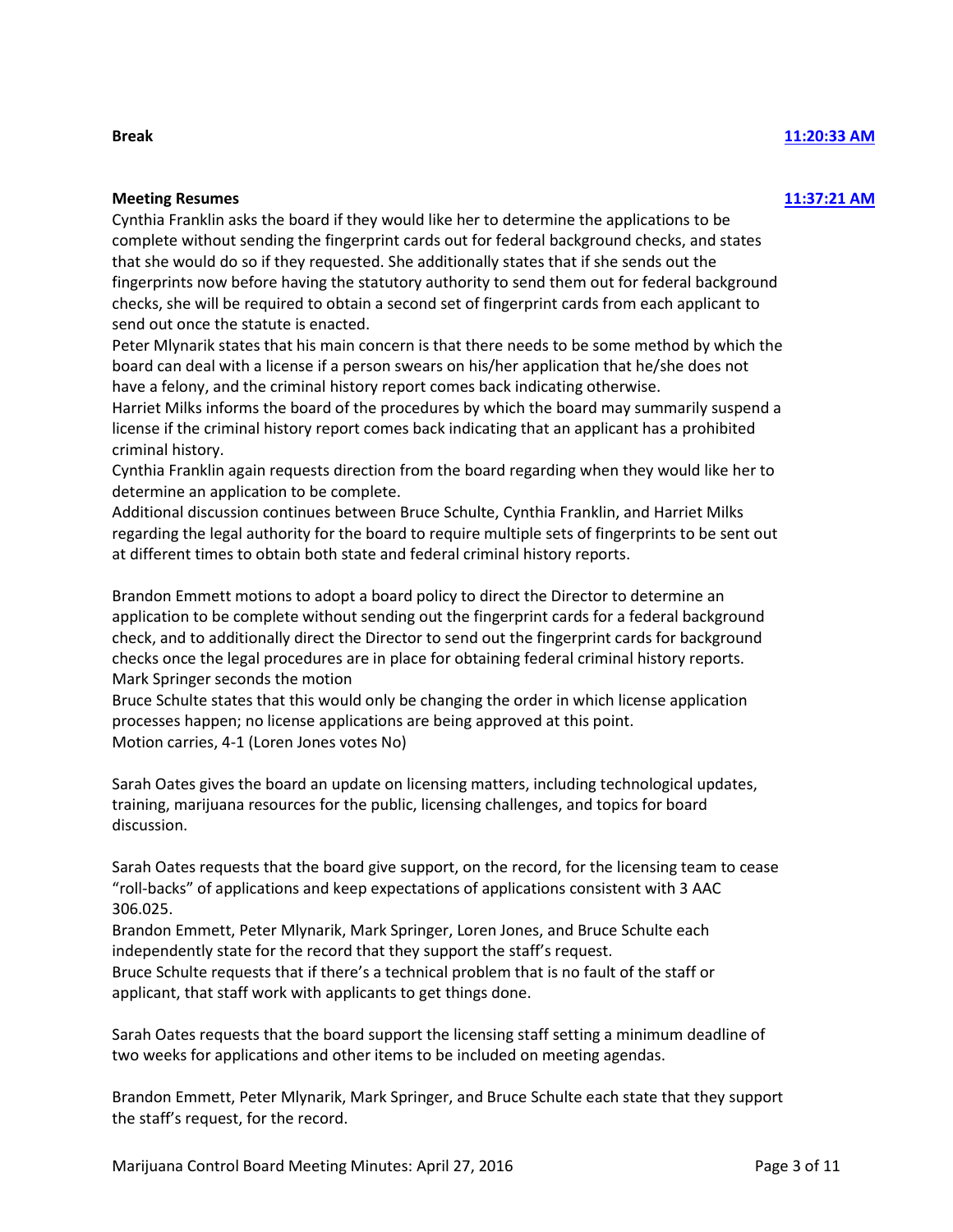### **Break [11:20:33 AM](ftr://?location="ABC Board"?date="27-Apr-2016"?position="11:20:33"?Data="2a032bd6")**

## **Meeting Resumes [11:37:21 AM](ftr://?location="ABC Board"?date="27-Apr-2016"?position="11:37:21"?Data="322f67ee")**

Cynthia Franklin asks the board if they would like her to determine the applications to be complete without sending the fingerprint cards out for federal background checks, and states that she would do so if they requested. She additionally states that if she sends out the fingerprints now before having the statutory authority to send them out for federal background checks, she will be required to obtain a second set of fingerprint cards from each applicant to send out once the statute is enacted.

Peter Mlynarik states that his main concern is that there needs to be some method by which the board can deal with a license if a person swears on his/her application that he/she does not have a felony, and the criminal history report comes back indicating otherwise.

Harriet Milks informs the board of the procedures by which the board may summarily suspend a license if the criminal history report comes back indicating that an applicant has a prohibited criminal history.

Cynthia Franklin again requests direction from the board regarding when they would like her to determine an application to be complete.

Additional discussion continues between Bruce Schulte, Cynthia Franklin, and Harriet Milks regarding the legal authority for the board to require multiple sets of fingerprints to be sent out at different times to obtain both state and federal criminal history reports.

Brandon Emmett motions to adopt a board policy to direct the Director to determine an application to be complete without sending out the fingerprint cards for a federal background check, and to additionally direct the Director to send out the fingerprint cards for background checks once the legal procedures are in place for obtaining federal criminal history reports. Mark Springer seconds the motion

Bruce Schulte states that this would only be changing the order in which license application processes happen; no license applications are being approved at this point. Motion carries, 4-1 (Loren Jones votes No)

Sarah Oates gives the board an update on licensing matters, including technological updates, training, marijuana resources for the public, licensing challenges, and topics for board discussion.

Sarah Oates requests that the board give support, on the record, for the licensing team to cease "roll-backs" of applications and keep expectations of applications consistent with 3 AAC 306.025.

Brandon Emmett, Peter Mlynarik, Mark Springer, Loren Jones, and Bruce Schulte each independently state for the record that they support the staff's request.

Bruce Schulte requests that if there's a technical problem that is no fault of the staff or applicant, that staff work with applicants to get things done.

Sarah Oates requests that the board support the licensing staff setting a minimum deadline of two weeks for applications and other items to be included on meeting agendas.

Brandon Emmett, Peter Mlynarik, Mark Springer, and Bruce Schulte each state that they support the staff's request, for the record.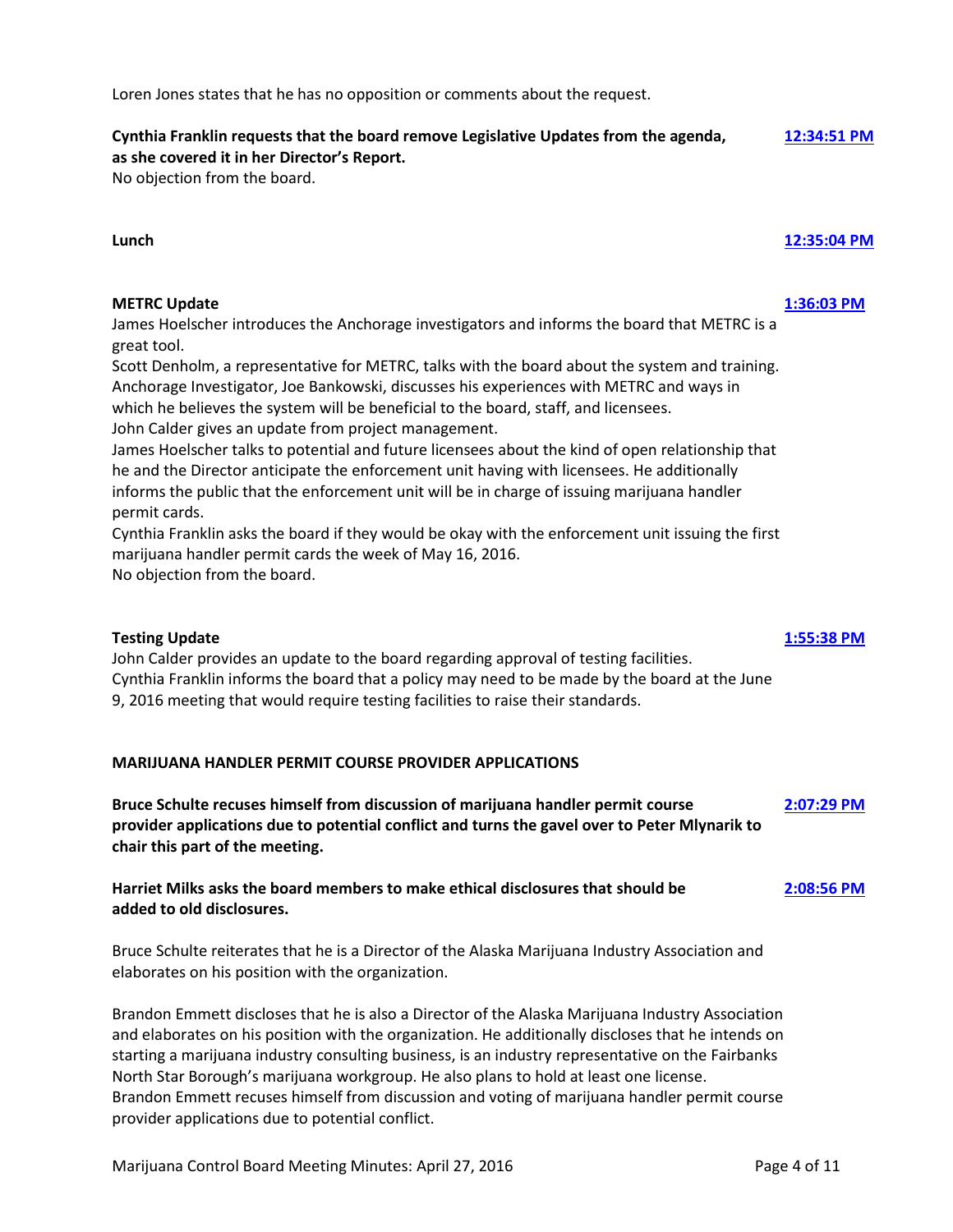provider applications due to potential conflict.

Loren Jones states that he has no opposition or comments about the request.

### **Cynthia Franklin requests that the board remove Legislative Updates from the agenda, [12:34:51 PM](ftr://?location="ABC Board"?date="27-Apr-2016"?position="12:34:51"?Data="edd558a7") as she covered it in her Director's Report.**

No objection from the board.

**Lunch [12:35:04 PM](ftr://?location="ABC Board"?date="27-Apr-2016"?position="12:35:04"?Data="65045218")**

# **METRC Update [1:36:03 PM](ftr://?location="ABC Board"?date="27-Apr-2016"?position="13:36:03"?Data="bd8c4033")**

James Hoelscher introduces the Anchorage investigators and informs the board that METRC is a great tool.

Scott Denholm, a representative for METRC, talks with the board about the system and training. Anchorage Investigator, Joe Bankowski, discusses his experiences with METRC and ways in which he believes the system will be beneficial to the board, staff, and licensees. John Calder gives an update from project management.

James Hoelscher talks to potential and future licensees about the kind of open relationship that he and the Director anticipate the enforcement unit having with licensees. He additionally informs the public that the enforcement unit will be in charge of issuing marijuana handler permit cards.

Cynthia Franklin asks the board if they would be okay with the enforcement unit issuing the first marijuana handler permit cards the week of May 16, 2016.

No objection from the board.

# **Testing Update [1:55:38 PM](ftr://?location="ABC Board"?date="27-Apr-2016"?position="13:55:38"?Data="e813ab7f")**

John Calder provides an update to the board regarding approval of testing facilities. Cynthia Franklin informs the board that a policy may need to be made by the board at the June 9, 2016 meeting that would require testing facilities to raise their standards.

# **MARIJUANA HANDLER PERMIT COURSE PROVIDER APPLICATIONS**

**Bruce Schulte recuses himself from discussion of marijuana handler permit course [2:07:29 PM](ftr://?location="ABC Board"?date="27-Apr-2016"?position="14:07:29"?Data="fa5c40e7") provider applications due to potential conflict and turns the gavel over to Peter Mlynarik to chair this part of the meeting.**

# **Harriet Milks asks the board members to make ethical disclosures that should be [2:08:56 PM](ftr://?location="ABC Board"?date="27-Apr-2016"?position="14:08:56"?Data="4e313b84") added to old disclosures.**

Bruce Schulte reiterates that he is a Director of the Alaska Marijuana Industry Association and elaborates on his position with the organization.

Brandon Emmett discloses that he is also a Director of the Alaska Marijuana Industry Association and elaborates on his position with the organization. He additionally discloses that he intends on starting a marijuana industry consulting business, is an industry representative on the Fairbanks North Star Borough's marijuana workgroup. He also plans to hold at least one license. Brandon Emmett recuses himself from discussion and voting of marijuana handler permit course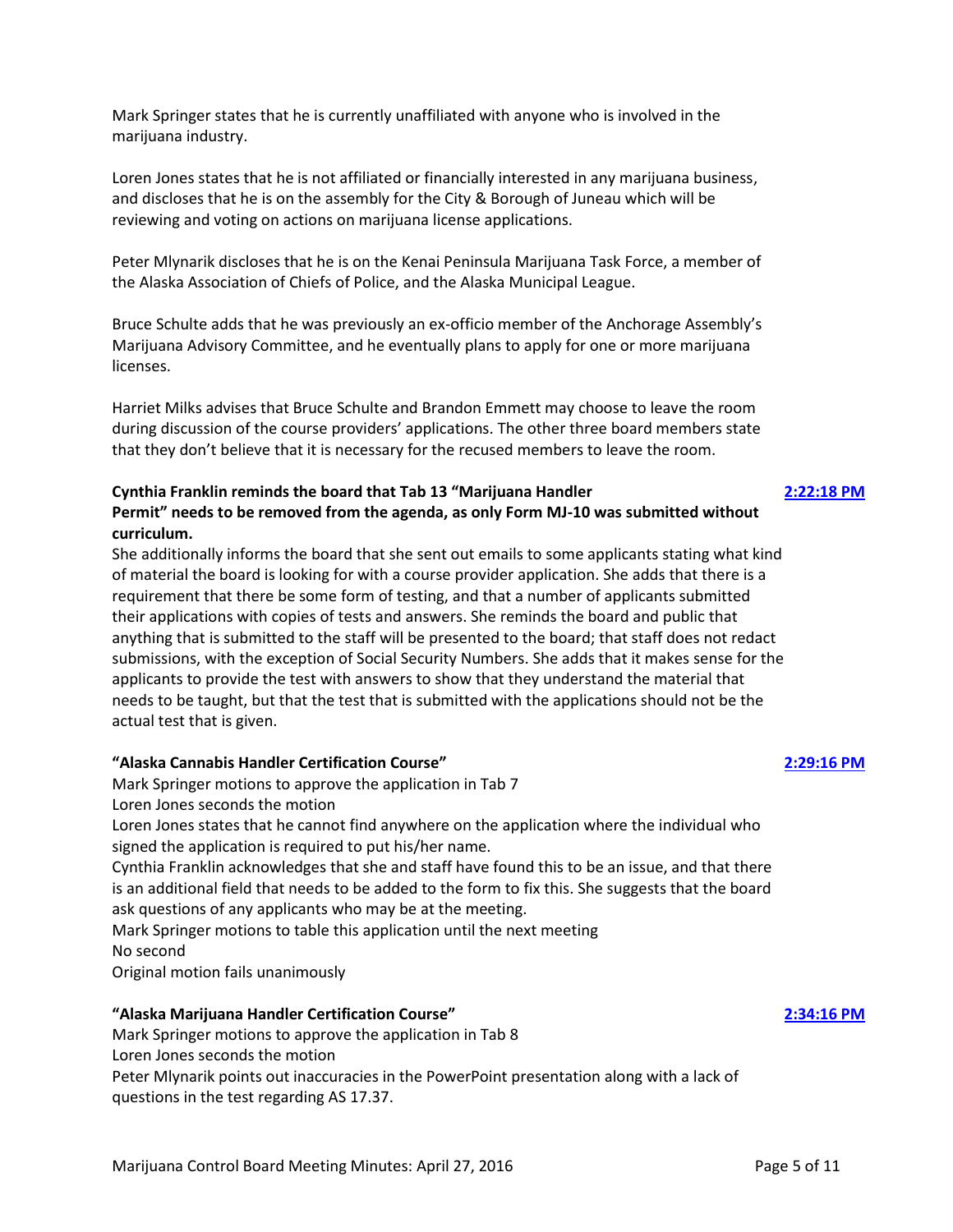Mark Springer states that he is currently unaffiliated with anyone who is involved in the marijuana industry.

Loren Jones states that he is not affiliated or financially interested in any marijuana business, and discloses that he is on the assembly for the City & Borough of Juneau which will be reviewing and voting on actions on marijuana license applications.

Peter Mlynarik discloses that he is on the Kenai Peninsula Marijuana Task Force, a member of the Alaska Association of Chiefs of Police, and the Alaska Municipal League.

Bruce Schulte adds that he was previously an ex-officio member of the Anchorage Assembly's Marijuana Advisory Committee, and he eventually plans to apply for one or more marijuana licenses.

Harriet Milks advises that Bruce Schulte and Brandon Emmett may choose to leave the room during discussion of the course providers' applications. The other three board members state that they don't believe that it is necessary for the recused members to leave the room.

## **Cynthia Franklin reminds the board that Tab 13 "Marijuana Handler [2:22:18](ftr://?location="ABC Board"?date="27-Apr-2016"?position="14:22:18"?Data="ce6600f7") PM Permit" needs to be removed from the agenda, as only Form MJ-10 was submitted without curriculum.**

She additionally informs the board that she sent out emails to some applicants stating what kind of material the board is looking for with a course provider application. She adds that there is a requirement that there be some form of testing, and that a number of applicants submitted their applications with copies of tests and answers. She reminds the board and public that anything that is submitted to the staff will be presented to the board; that staff does not redact submissions, with the exception of Social Security Numbers. She adds that it makes sense for the applicants to provide the test with answers to show that they understand the material that needs to be taught, but that the test that is submitted with the applications should not be the actual test that is given.

## **"Alaska Cannabis Handler Certification Course" [2:29:16 PM](ftr://?location="ABC Board"?date="27-Apr-2016"?position="14:29:16"?Data="d6598c33")**

Mark Springer motions to approve the application in Tab 7 Loren Jones seconds the motion

Loren Jones states that he cannot find anywhere on the application where the individual who signed the application is required to put his/her name.

Cynthia Franklin acknowledges that she and staff have found this to be an issue, and that there is an additional field that needs to be added to the form to fix this. She suggests that the board ask questions of any applicants who may be at the meeting.

Mark Springer motions to table this application until the next meeting

No second

Original motion fails unanimously

## **"Alaska Marijuana Handler Certification Course" [2:34:16 PM](ftr://?location="ABC Board"?date="27-Apr-2016"?position="14:34:16"?Data="b8024bec")**

Mark Springer motions to approve the application in Tab 8 Loren Jones seconds the motion

Peter Mlynarik points out inaccuracies in the PowerPoint presentation along with a lack of questions in the test regarding AS 17.37.

### Marijuana Control Board Meeting Minutes: April 27, 2016 **Page 5 of 11** Page 5 of 11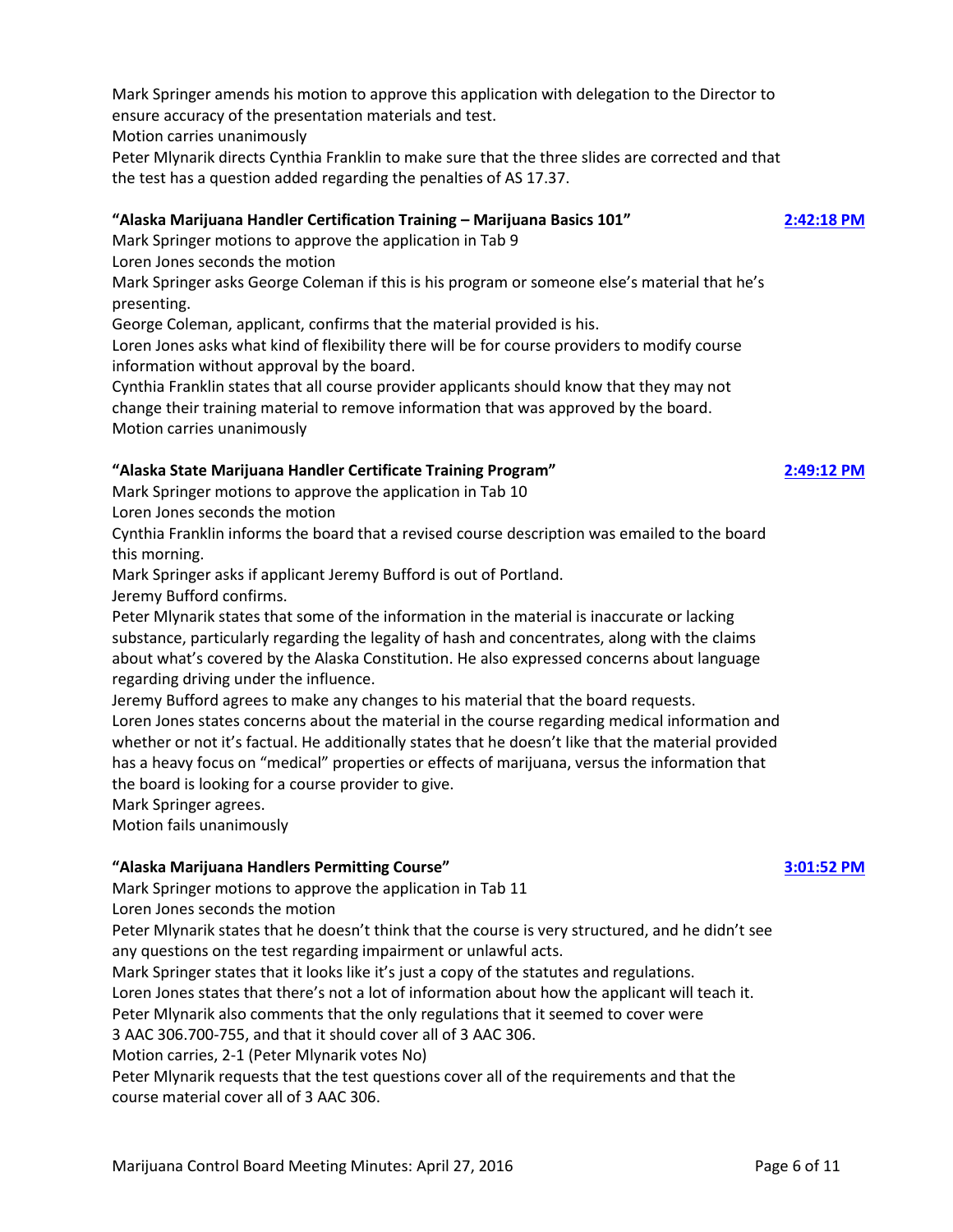Mark Springer amends his motion to approve this application with delegation to the Director to ensure accuracy of the presentation materials and test.

Motion carries unanimously

Peter Mlynarik directs Cynthia Franklin to make sure that the three slides are corrected and that the test has a question added regarding the penalties of AS 17.37.

# **"Alaska Marijuana Handler Certification Training – Marijuana Basics 101" [2:42:18 PM](ftr://?location="ABC Board"?date="27-Apr-2016"?position="14:42:18"?Data="215ba517")**

Mark Springer motions to approve the application in Tab 9

Loren Jones seconds the motion

Mark Springer asks George Coleman if this is his program or someone else's material that he's presenting.

George Coleman, applicant, confirms that the material provided is his.

Loren Jones asks what kind of flexibility there will be for course providers to modify course information without approval by the board.

Cynthia Franklin states that all course provider applicants should know that they may not change their training material to remove information that was approved by the board. Motion carries unanimously

# **"Alaska State Marijuana Handler Certificate Training Program" [2:49:12 PM](ftr://?location="ABC Board"?date="27-Apr-2016"?position="14:49:12"?Data="b606be84")**

Mark Springer motions to approve the application in Tab 10

Loren Jones seconds the motion

Cynthia Franklin informs the board that a revised course description was emailed to the board this morning.

Mark Springer asks if applicant Jeremy Bufford is out of Portland.

Jeremy Bufford confirms.

Peter Mlynarik states that some of the information in the material is inaccurate or lacking substance, particularly regarding the legality of hash and concentrates, along with the claims about what's covered by the Alaska Constitution. He also expressed concerns about language regarding driving under the influence.

Jeremy Bufford agrees to make any changes to his material that the board requests.

Loren Jones states concerns about the material in the course regarding medical information and whether or not it's factual. He additionally states that he doesn't like that the material provided has a heavy focus on "medical" properties or effects of marijuana, versus the information that the board is looking for a course provider to give.

Mark Springer agrees.

Motion fails unanimously

# **"Alaska Marijuana Handlers Permitting Course" [3:01:52 PM](ftr://?location="ABC Board"?date="27-Apr-2016"?position="15:01:52"?Data="932e1688")**

Mark Springer motions to approve the application in Tab 11

Loren Jones seconds the motion

Peter Mlynarik states that he doesn't think that the course is very structured, and he didn't see any questions on the test regarding impairment or unlawful acts.

Mark Springer states that it looks like it's just a copy of the statutes and regulations.

Loren Jones states that there's not a lot of information about how the applicant will teach it.

Peter Mlynarik also comments that the only regulations that it seemed to cover were

3 AAC 306.700-755, and that it should cover all of 3 AAC 306.

Motion carries, 2-1 (Peter Mlynarik votes No)

Peter Mlynarik requests that the test questions cover all of the requirements and that the course material cover all of 3 AAC 306.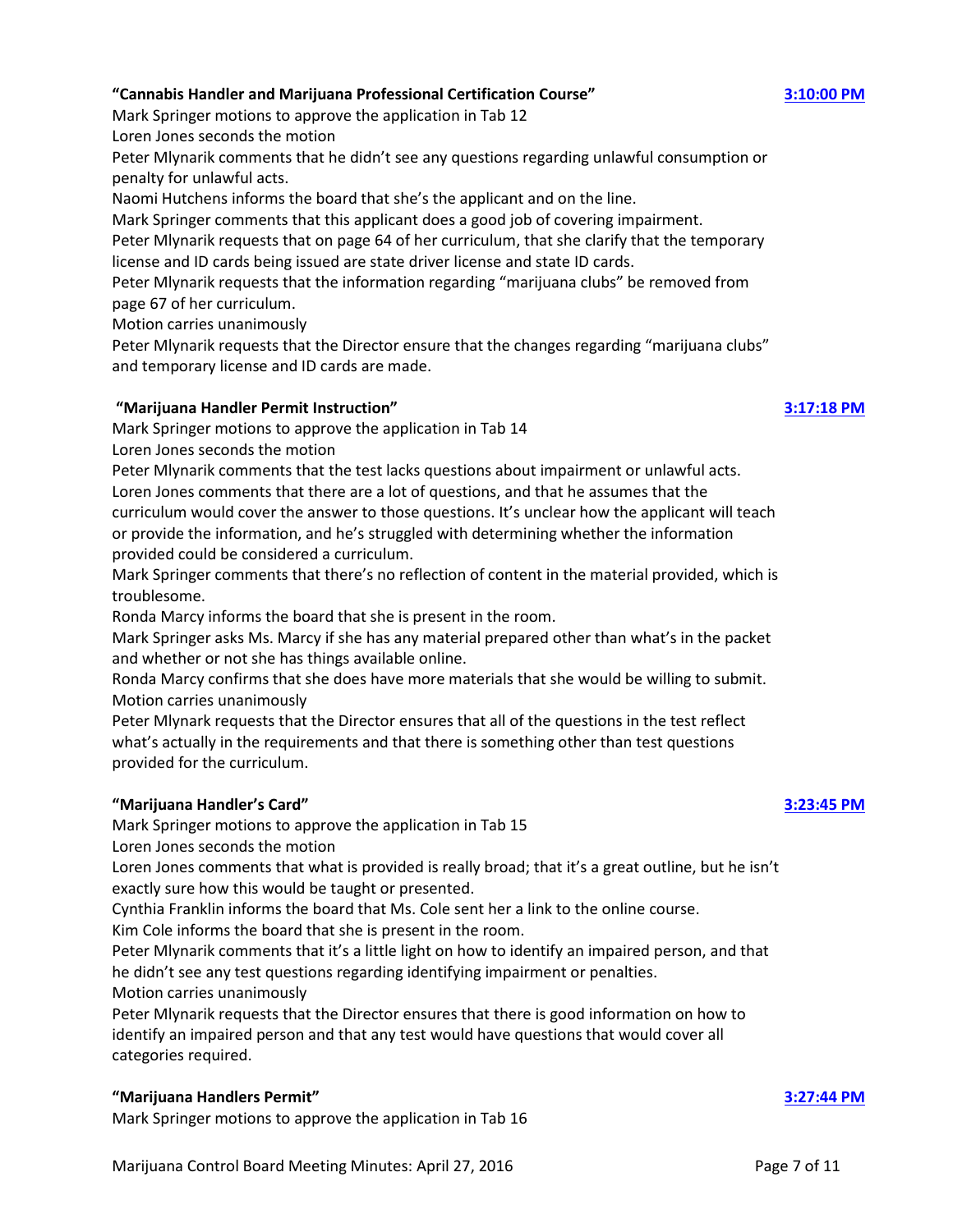## **"Cannabis Handler and Marijuana Professional Certification Course" [3:10:00 PM](ftr://?location="ABC Board"?date="27-Apr-2016"?position="15:10:00"?Data="1d8d68e1")**

Mark Springer motions to approve the application in Tab 12

Loren Jones seconds the motion

Peter Mlynarik comments that he didn't see any questions regarding unlawful consumption or penalty for unlawful acts.

Naomi Hutchens informs the board that she's the applicant and on the line.

Mark Springer comments that this applicant does a good job of covering impairment.

Peter Mlynarik requests that on page 64 of her curriculum, that she clarify that the temporary license and ID cards being issued are state driver license and state ID cards.

Peter Mlynarik requests that the information regarding "marijuana clubs" be removed from page 67 of her curriculum.

Motion carries unanimously

Peter Mlynarik requests that the Director ensure that the changes regarding "marijuana clubs" and temporary license and ID cards are made.

## **"Marijuana Handler Permit Instruction" [3:17:18 PM](ftr://?location="ABC Board"?date="27-Apr-2016"?position="15:17:18"?Data="f1b988d2")**

Mark Springer motions to approve the application in Tab 14

Loren Jones seconds the motion

Peter Mlynarik comments that the test lacks questions about impairment or unlawful acts.

Loren Jones comments that there are a lot of questions, and that he assumes that the curriculum would cover the answer to those questions. It's unclear how the applicant will teach or provide the information, and he's struggled with determining whether the information provided could be considered a curriculum.

Mark Springer comments that there's no reflection of content in the material provided, which is troublesome.

Ronda Marcy informs the board that she is present in the room.

Mark Springer asks Ms. Marcy if she has any material prepared other than what's in the packet and whether or not she has things available online.

Ronda Marcy confirms that she does have more materials that she would be willing to submit. Motion carries unanimously

Peter Mlynark requests that the Director ensures that all of the questions in the test reflect what's actually in the requirements and that there is something other than test questions provided for the curriculum.

## **"Marijuana Handler's Card" [3:23:45 PM](ftr://?location="ABC Board"?date="27-Apr-2016"?position="15:23:45"?Data="2d6bb336")**

Mark Springer motions to approve the application in Tab 15

Loren Jones seconds the motion

Loren Jones comments that what is provided is really broad; that it's a great outline, but he isn't exactly sure how this would be taught or presented.

Cynthia Franklin informs the board that Ms. Cole sent her a link to the online course.

Kim Cole informs the board that she is present in the room.

Peter Mlynarik comments that it's a little light on how to identify an impaired person, and that he didn't see any test questions regarding identifying impairment or penalties.

Motion carries unanimously

Peter Mlynarik requests that the Director ensures that there is good information on how to identify an impaired person and that any test would have questions that would cover all categories required.

## **"Marijuana Handlers Permit" [3:27:44 PM](ftr://?location="ABC Board"?date="27-Apr-2016"?position="15:27:44"?Data="9c3c7429")**

Mark Springer motions to approve the application in Tab 16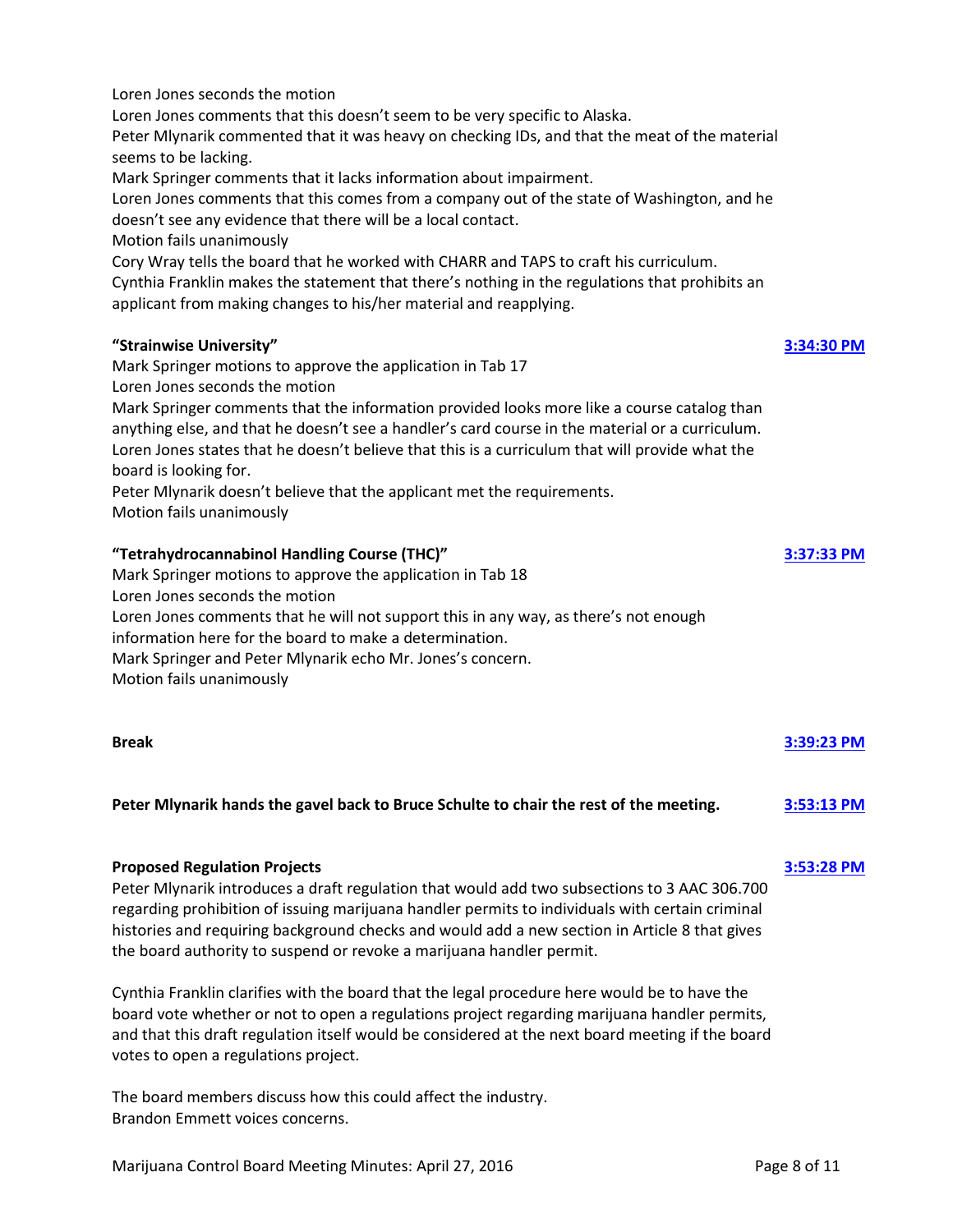Loren Jones seconds the motion

Loren Jones comments that this doesn't seem to be very specific to Alaska.

Peter Mlynarik commented that it was heavy on checking IDs, and that the meat of the material seems to be lacking.

Mark Springer comments that it lacks information about impairment.

Loren Jones comments that this comes from a company out of the state of Washington, and he doesn't see any evidence that there will be a local contact.

Motion fails unanimously

Cory Wray tells the board that he worked with CHARR and TAPS to craft his curriculum.

Cynthia Franklin makes the statement that there's nothing in the regulations that prohibits an applicant from making changes to his/her material and reapplying.

## **"Strainwise University" [3:34:30 PM](ftr://?location="ABC Board"?date="27-Apr-2016"?position="15:34:30"?Data="7ec924aa")**

Mark Springer motions to approve the application in Tab 17

Loren Jones seconds the motion

Mark Springer comments that the information provided looks more like a course catalog than anything else, and that he doesn't see a handler's card course in the material or a curriculum. Loren Jones states that he doesn't believe that this is a curriculum that will provide what the board is looking for.

Peter Mlynarik doesn't believe that the applicant met the requirements.

Motion fails unanimously

## **"Tetrahydrocannabinol Handling Course (THC)" [3:37:33 PM](ftr://?location="ABC Board"?date="27-Apr-2016"?position="15:37:33"?Data="874b3047")**

Mark Springer motions to approve the application in Tab 18 Loren Jones seconds the motion Loren Jones comments that he will not support this in any way, as there's not enough information here for the board to make a determination. Mark Springer and Peter Mlynarik echo Mr. Jones's concern. Motion fails unanimously

| <b>Break</b><br>Peter Mlynarik hands the gavel back to Bruce Schulte to chair the rest of the meeting. | 3:39:23 PM   |
|--------------------------------------------------------------------------------------------------------|--------------|
|                                                                                                        | $3:53:13$ PM |

### **Proposed Regulation Projects [3:53:28 PM](ftr://?location="ABC Board"?date="27-Apr-2016"?position="15:53:28"?Data="7dc06179")**

Peter Mlynarik introduces a draft regulation that would add two subsections to 3 AAC 306.700 regarding prohibition of issuing marijuana handler permits to individuals with certain criminal histories and requiring background checks and would add a new section in Article 8 that gives the board authority to suspend or revoke a marijuana handler permit.

Cynthia Franklin clarifies with the board that the legal procedure here would be to have the board vote whether or not to open a regulations project regarding marijuana handler permits, and that this draft regulation itself would be considered at the next board meeting if the board votes to open a regulations project.

The board members discuss how this could affect the industry. Brandon Emmett voices concerns.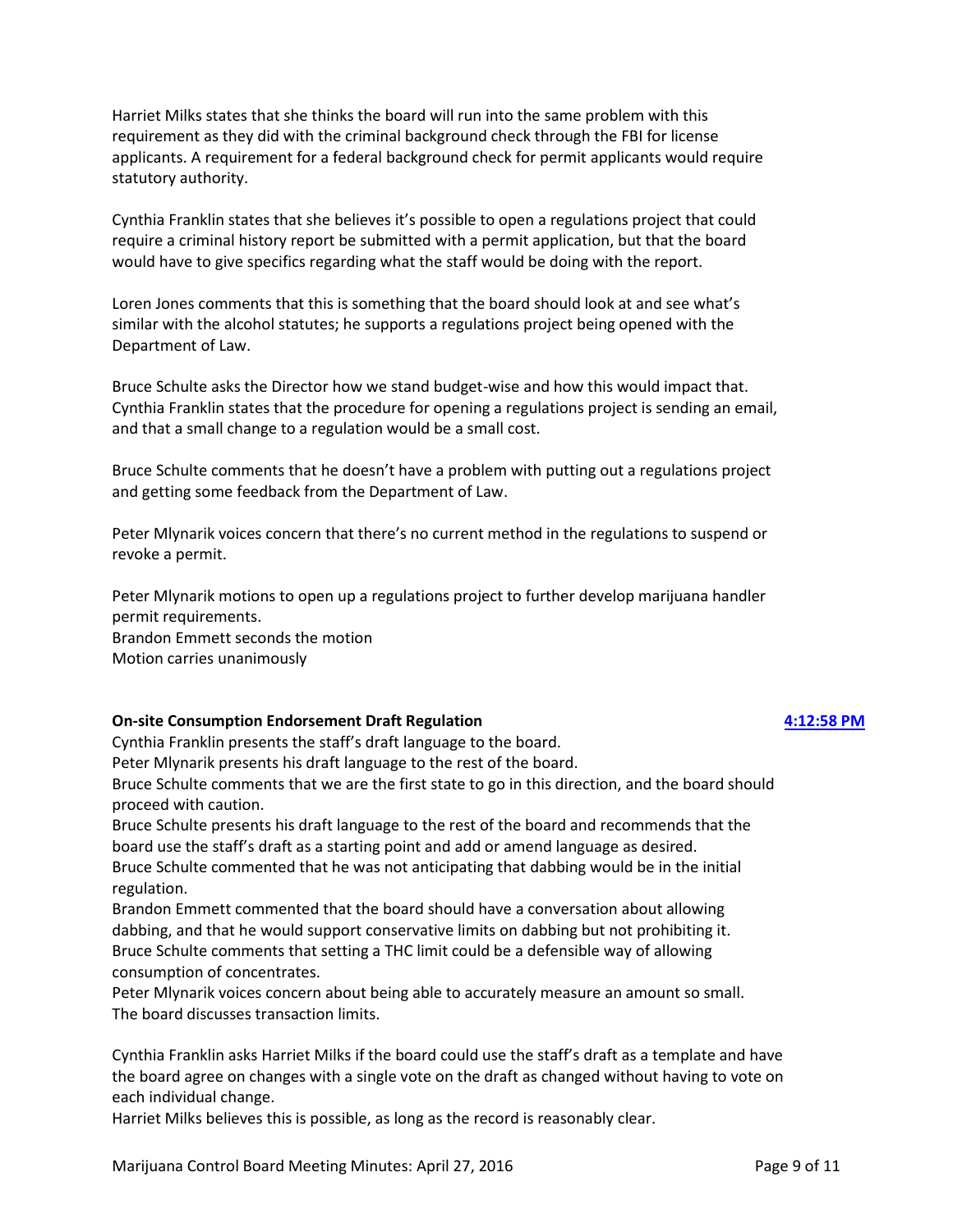Harriet Milks states that she thinks the board will run into the same problem with this requirement as they did with the criminal background check through the FBI for license applicants. A requirement for a federal background check for permit applicants would require statutory authority.

Cynthia Franklin states that she believes it's possible to open a regulations project that could require a criminal history report be submitted with a permit application, but that the board would have to give specifics regarding what the staff would be doing with the report.

Loren Jones comments that this is something that the board should look at and see what's similar with the alcohol statutes; he supports a regulations project being opened with the Department of Law.

Bruce Schulte asks the Director how we stand budget-wise and how this would impact that. Cynthia Franklin states that the procedure for opening a regulations project is sending an email, and that a small change to a regulation would be a small cost.

Bruce Schulte comments that he doesn't have a problem with putting out a regulations project and getting some feedback from the Department of Law.

Peter Mlynarik voices concern that there's no current method in the regulations to suspend or revoke a permit.

Peter Mlynarik motions to open up a regulations project to further develop marijuana handler permit requirements. Brandon Emmett seconds the motion

Motion carries unanimously

### **On-site Consumption Endorsement Draft Regulation [4:12:58 PM](ftr://?location="ABC Board"?date="27-Apr-2016"?position="16:12:58"?Data="a5c9b572")**

Cynthia Franklin presents the staff's draft language to the board.

Peter Mlynarik presents his draft language to the rest of the board.

Bruce Schulte comments that we are the first state to go in this direction, and the board should proceed with caution.

Bruce Schulte presents his draft language to the rest of the board and recommends that the board use the staff's draft as a starting point and add or amend language as desired.

Bruce Schulte commented that he was not anticipating that dabbing would be in the initial regulation.

Brandon Emmett commented that the board should have a conversation about allowing dabbing, and that he would support conservative limits on dabbing but not prohibiting it. Bruce Schulte comments that setting a THC limit could be a defensible way of allowing consumption of concentrates.

Peter Mlynarik voices concern about being able to accurately measure an amount so small. The board discusses transaction limits.

Cynthia Franklin asks Harriet Milks if the board could use the staff's draft as a template and have the board agree on changes with a single vote on the draft as changed without having to vote on each individual change.

Harriet Milks believes this is possible, as long as the record is reasonably clear.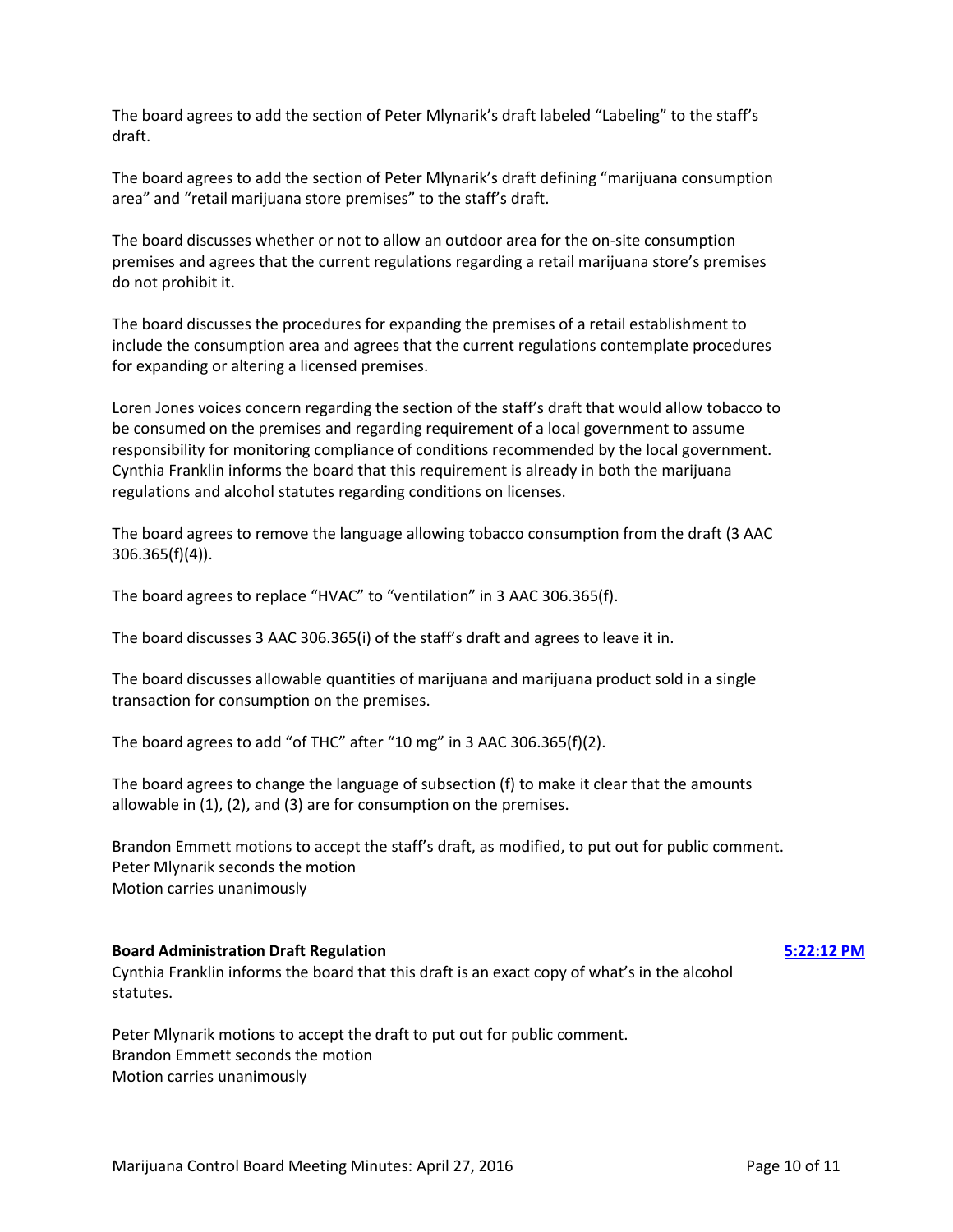The board agrees to add the section of Peter Mlynarik's draft labeled "Labeling" to the staff's draft.

The board agrees to add the section of Peter Mlynarik's draft defining "marijuana consumption area" and "retail marijuana store premises" to the staff's draft.

The board discusses whether or not to allow an outdoor area for the on-site consumption premises and agrees that the current regulations regarding a retail marijuana store's premises do not prohibit it.

The board discusses the procedures for expanding the premises of a retail establishment to include the consumption area and agrees that the current regulations contemplate procedures for expanding or altering a licensed premises.

Loren Jones voices concern regarding the section of the staff's draft that would allow tobacco to be consumed on the premises and regarding requirement of a local government to assume responsibility for monitoring compliance of conditions recommended by the local government. Cynthia Franklin informs the board that this requirement is already in both the marijuana regulations and alcohol statutes regarding conditions on licenses.

The board agrees to remove the language allowing tobacco consumption from the draft (3 AAC 306.365(f)(4)).

The board agrees to replace "HVAC" to "ventilation" in 3 AAC 306.365(f).

The board discusses 3 AAC 306.365(i) of the staff's draft and agrees to leave it in.

The board discusses allowable quantities of marijuana and marijuana product sold in a single transaction for consumption on the premises.

The board agrees to add "of THC" after "10 mg" in 3 AAC 306.365(f)(2).

The board agrees to change the language of subsection (f) to make it clear that the amounts allowable in (1), (2), and (3) are for consumption on the premises.

Brandon Emmett motions to accept the staff's draft, as modified, to put out for public comment. Peter Mlynarik seconds the motion Motion carries unanimously

### **Board Administration Draft Regulation [5:22:12 PM](ftr://?location="ABC Board"?date="27-Apr-2016"?position="17:22:12"?Data="88135461")**

Cynthia Franklin informs the board that this draft is an exact copy of what's in the alcohol statutes.

Peter Mlynarik motions to accept the draft to put out for public comment. Brandon Emmett seconds the motion Motion carries unanimously